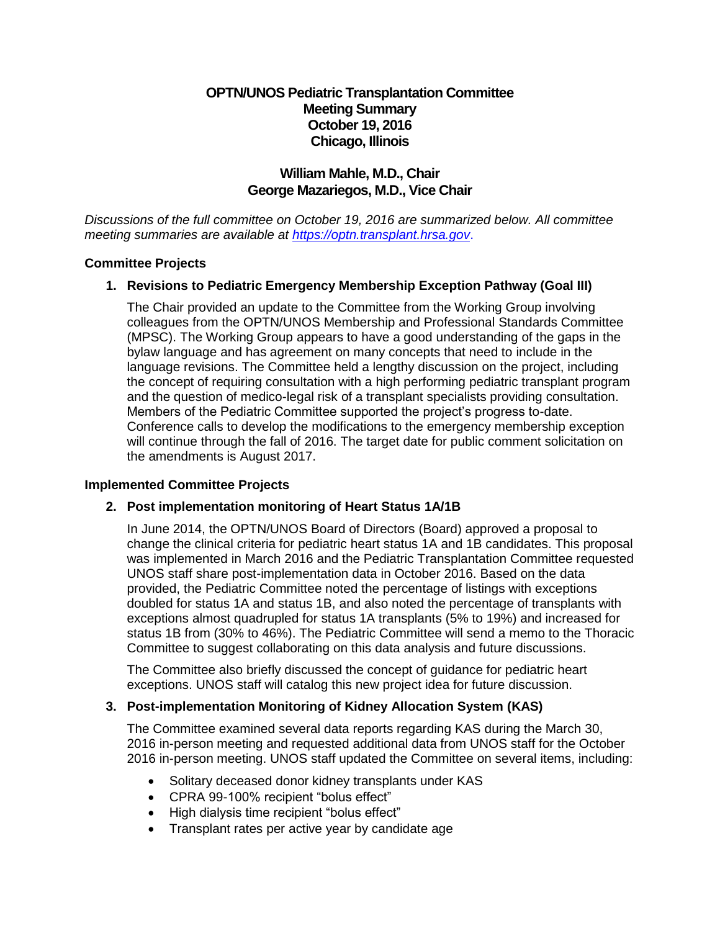# **OPTN/UNOS Pediatric Transplantation Committee Meeting Summary October 19, 2016 Chicago, Illinois**

# **William Mahle, M.D., Chair George Mazariegos, M.D., Vice Chair**

*Discussions of the full committee on October 19, 2016 are summarized below. All committee meeting summaries are available at [https://optn.transplant.hrsa.gov](https://optn.transplant.hrsa.gov/)*.

## **Committee Projects**

# **1. Revisions to Pediatric Emergency Membership Exception Pathway (Goal III)**

The Chair provided an update to the Committee from the Working Group involving colleagues from the OPTN/UNOS Membership and Professional Standards Committee (MPSC). The Working Group appears to have a good understanding of the gaps in the bylaw language and has agreement on many concepts that need to include in the language revisions. The Committee held a lengthy discussion on the project, including the concept of requiring consultation with a high performing pediatric transplant program and the question of medico-legal risk of a transplant specialists providing consultation. Members of the Pediatric Committee supported the project's progress to-date. Conference calls to develop the modifications to the emergency membership exception will continue through the fall of 2016. The target date for public comment solicitation on the amendments is August 2017.

#### **Implemented Committee Projects**

## **2. Post implementation monitoring of Heart Status 1A/1B**

In June 2014, the OPTN/UNOS Board of Directors (Board) approved a proposal to change the clinical criteria for pediatric heart status 1A and 1B candidates. This proposal was implemented in March 2016 and the Pediatric Transplantation Committee requested UNOS staff share post-implementation data in October 2016. Based on the data provided, the Pediatric Committee noted the percentage of listings with exceptions doubled for status 1A and status 1B, and also noted the percentage of transplants with exceptions almost quadrupled for status 1A transplants (5% to 19%) and increased for status 1B from (30% to 46%). The Pediatric Committee will send a memo to the Thoracic Committee to suggest collaborating on this data analysis and future discussions.

The Committee also briefly discussed the concept of guidance for pediatric heart exceptions. UNOS staff will catalog this new project idea for future discussion.

#### **3. Post-implementation Monitoring of Kidney Allocation System (KAS)**

The Committee examined several data reports regarding KAS during the March 30, 2016 in-person meeting and requested additional data from UNOS staff for the October 2016 in-person meeting. UNOS staff updated the Committee on several items, including:

- Solitary deceased donor kidney transplants under KAS
- CPRA 99-100% recipient "bolus effect"
- High dialysis time recipient "bolus effect"
- Transplant rates per active year by candidate age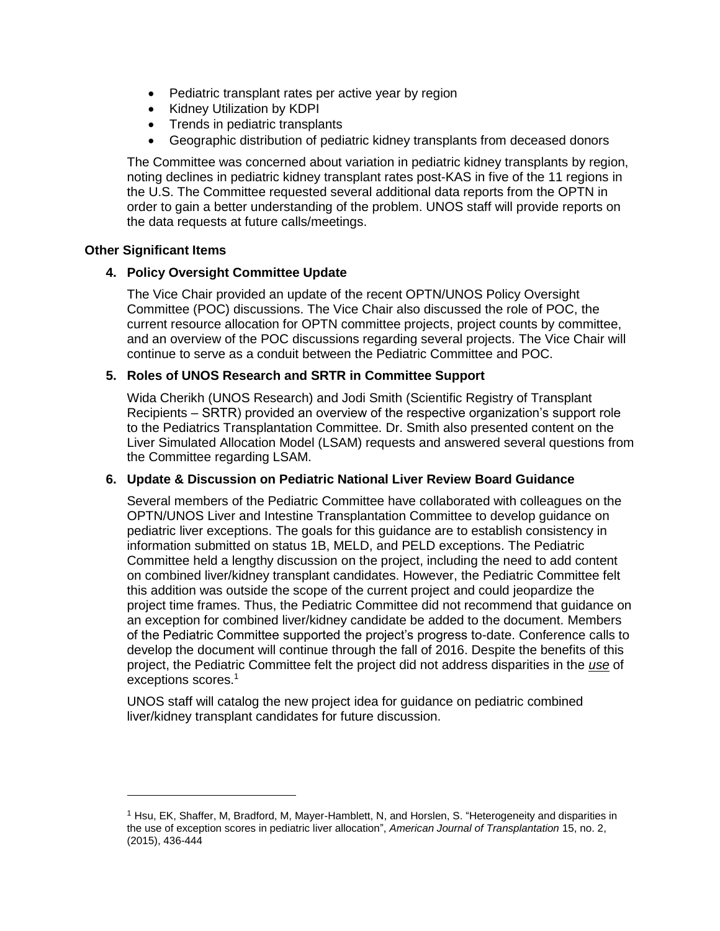- Pediatric transplant rates per active year by region
- Kidney Utilization by KDPI
- Trends in pediatric transplants
- Geographic distribution of pediatric kidney transplants from deceased donors

The Committee was concerned about variation in pediatric kidney transplants by region, noting declines in pediatric kidney transplant rates post-KAS in five of the 11 regions in the U.S. The Committee requested several additional data reports from the OPTN in order to gain a better understanding of the problem. UNOS staff will provide reports on the data requests at future calls/meetings.

#### **Other Significant Items**

 $\overline{a}$ 

### **4. Policy Oversight Committee Update**

The Vice Chair provided an update of the recent OPTN/UNOS Policy Oversight Committee (POC) discussions. The Vice Chair also discussed the role of POC, the current resource allocation for OPTN committee projects, project counts by committee, and an overview of the POC discussions regarding several projects. The Vice Chair will continue to serve as a conduit between the Pediatric Committee and POC.

## **5. Roles of UNOS Research and SRTR in Committee Support**

Wida Cherikh (UNOS Research) and Jodi Smith (Scientific Registry of Transplant Recipients – SRTR) provided an overview of the respective organization's support role to the Pediatrics Transplantation Committee. Dr. Smith also presented content on the Liver Simulated Allocation Model (LSAM) requests and answered several questions from the Committee regarding LSAM.

## **6. Update & Discussion on Pediatric National Liver Review Board Guidance**

Several members of the Pediatric Committee have collaborated with colleagues on the OPTN/UNOS Liver and Intestine Transplantation Committee to develop guidance on pediatric liver exceptions. The goals for this guidance are to establish consistency in information submitted on status 1B, MELD, and PELD exceptions. The Pediatric Committee held a lengthy discussion on the project, including the need to add content on combined liver/kidney transplant candidates. However, the Pediatric Committee felt this addition was outside the scope of the current project and could jeopardize the project time frames. Thus, the Pediatric Committee did not recommend that guidance on an exception for combined liver/kidney candidate be added to the document. Members of the Pediatric Committee supported the project's progress to-date. Conference calls to develop the document will continue through the fall of 2016. Despite the benefits of this project, the Pediatric Committee felt the project did not address disparities in the *use* of exceptions scores.<sup>1</sup>

UNOS staff will catalog the new project idea for guidance on pediatric combined liver/kidney transplant candidates for future discussion.

<sup>1</sup> Hsu, EK, Shaffer, M, Bradford, M, Mayer-Hamblett, N, and Horslen, S. "Heterogeneity and disparities in the use of exception scores in pediatric liver allocation", *American Journal of Transplantation* 15, no. 2, (2015), 436-444